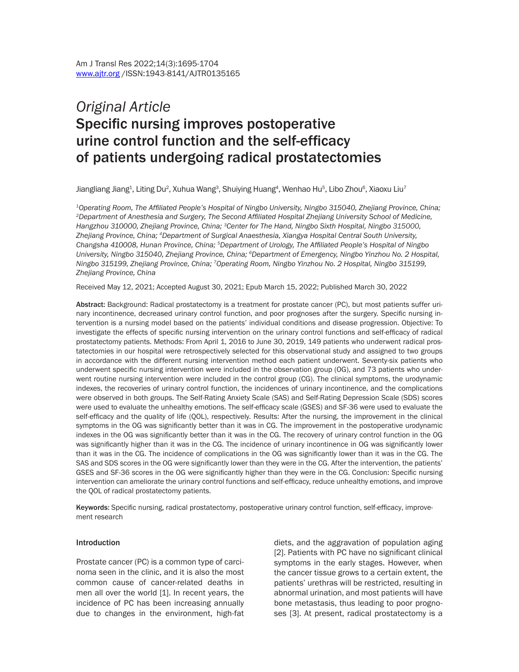# *Original Article* Specific nursing improves postoperative urine control function and the self-efficacy of patients undergoing radical prostatectomies

Jiangliang Jiang $^1$ , Liting Du $^2$ , Xuhua Wang $^3$ , Shuiying Huang $^4$ , Wenhao Hu $^5$ , Libo Zhou $^6$ , Xiaoxu Liu $^7$ 

*<sup>1</sup>Operating Room, The Affiliated People's Hospital of Ningbo University, Ningbo 315040, Zhejiang Province, China; <sup>2</sup>Department of Anesthesia and Surgery, The Second Affiliated Hospital Zhejiang University School of Medicine, Hangzhou 310000, Zhejiang Province, China; 3Center for The Hand, Ningbo Sixth Hospital, Ningbo 315000, Zhejiang Province, China; 4Department of Surgical Anaesthesia, Xiangya Hospital Central South University, Changsha 410008, Hunan Province, China; 5Department of Urology, The Affiliated People's Hospital of Ningbo University, Ningbo 315040, Zhejiang Province, China; <sup>6</sup>Department of Emergency, Ningbo Yinzhou No. 2 Hospital, Ningbo 315199, Zhejiang Province, China; <sup>7</sup>Operating Room, Ningbo Yinzhou No. 2 Hospital, Ningbo 315199, Zhejiang Province, China*

Received May 12, 2021; Accepted August 30, 2021; Epub March 15, 2022; Published March 30, 2022

Abstract: Background: Radical prostatectomy is a treatment for prostate cancer (PC), but most patients suffer urinary incontinence, decreased urinary control function, and poor prognoses after the surgery. Specific nursing intervention is a nursing model based on the patients' individual conditions and disease progression. Objective: To investigate the effects of specific nursing intervention on the urinary control functions and self-efficacy of radical prostatectomy patients. Methods: From April 1, 2016 to June 30, 2019, 149 patients who underwent radical prostatectomies in our hospital were retrospectively selected for this observational study and assigned to two groups in accordance with the different nursing intervention method each patient underwent. Seventy-six patients who underwent specific nursing intervention were included in the observation group (OG), and 73 patients who underwent routine nursing intervention were included in the control group (CG). The clinical symptoms, the urodynamic indexes, the recoveries of urinary control function, the incidences of urinary incontinence, and the complications were observed in both groups. The Self-Rating Anxiety Scale (SAS) and Self-Rating Depression Scale (SDS) scores were used to evaluate the unhealthy emotions. The self-efficacy scale (GSES) and SF-36 were used to evaluate the self-efficacy and the quality of life (QOL), respectively. Results: After the nursing, the improvement in the clinical symptoms in the OG was significantly better than it was in CG. The improvement in the postoperative urodynamic indexes in the OG was significantly better than it was in the CG. The recovery of urinary control function in the OG was significantly higher than it was in the CG. The incidence of urinary incontinence in OG was significantly lower than it was in the CG. The incidence of complications in the OG was significantly lower than it was in the CG. The SAS and SDS scores in the OG were significantly lower than they were in the CG. After the intervention, the patients' GSES and SF-36 scores in the OG were significantly higher than they were in the CG. Conclusion: Specific nursing intervention can ameliorate the urinary control functions and self-efficacy, reduce unhealthy emotions, and improve the QOL of radical prostatectomy patients.

Keywords: Specific nursing, radical prostatectomy, postoperative urinary control function, self-efficacy, improvement research

#### Introduction

Prostate cancer (PC) is a common type of carcinoma seen in the clinic, and it is also the most common cause of cancer-related deaths in men all over the world [1]. In recent years, the incidence of PC has been increasing annually due to changes in the environment, high-fat diets, and the aggravation of population aging [2]. Patients with PC have no significant clinical symptoms in the early stages. However, when the cancer tissue grows to a certain extent, the patients' urethras will be restricted, resulting in abnormal urination, and most patients will have bone metastasis, thus leading to poor prognoses [3]. At present, radical prostatectomy is a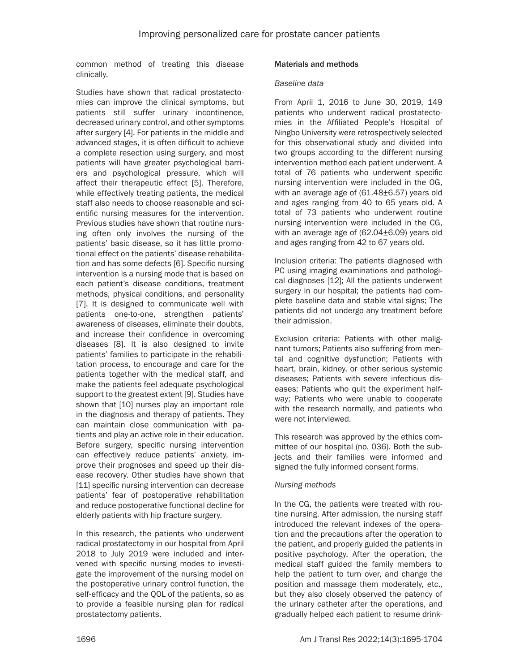common method of treating this disease clinically.

Studies have shown that radical prostatectomies can improve the clinical symptoms, but patients still suffer urinary incontinence, decreased urinary control, and other symptoms after surgery [4]. For patients in the middle and advanced stages, it is often difficult to achieve a complete resection using surgery, and most patients will have greater psychological barriers and psychological pressure, which will affect their therapeutic effect [5]. Therefore, while effectively treating patients, the medical staff also needs to choose reasonable and scientific nursing measures for the intervention. Previous studies have shown that routine nursing often only involves the nursing of the patients' basic disease, so it has little promotional effect on the patients' disease rehabilitation and has some defects [6]. Specific nursing intervention is a nursing mode that is based on each patient's disease conditions, treatment methods, physical conditions, and personality [7]. It is designed to communicate well with patients one-to-one, strengthen patients' awareness of diseases, eliminate their doubts, and increase their confidence in overcoming diseases [8]. It is also designed to invite patients' families to participate in the rehabilitation process, to encourage and care for the patients together with the medical staff, and make the patients feel adequate psychological support to the greatest extent [9]. Studies have shown that [10] nurses play an important role in the diagnosis and therapy of patients. They can maintain close communication with patients and play an active role in their education. Before surgery, specific nursing intervention can effectively reduce patients' anxiety, improve their prognoses and speed up their disease recovery. Other studies have shown that [11] specific nursing intervention can decrease patients' fear of postoperative rehabilitation and reduce postoperative functional decline for elderly patients with hip fracture surgery.

In this research, the patients who underwent radical prostatectomy in our hospital from April 2018 to July 2019 were included and intervened with specific nursing modes to investigate the improvement of the nursing model on the postoperative urinary control function, the self-efficacy and the QOL of the patients, so as to provide a feasible nursing plan for radical prostatectomy patients.

## Materials and methods

#### *Baseline data*

From April 1, 2016 to June 30, 2019, 149 patients who underwent radical prostatectomies in the Affiliated People's Hospital of Ningbo University were retrospectively selected for this observational study and divided into two groups according to the different nursing intervention method each patient underwent. A total of 76 patients who underwent specific nursing intervention were included in the OG, with an average age of (61.48±6.57) years old and ages ranging from 40 to 65 years old. A total of 73 patients who underwent routine nursing intervention were included in the CG, with an average age of (62.04±6.09) years old and ages ranging from 42 to 67 years old.

Inclusion criteria: The patients diagnosed with PC using imaging examinations and pathological diagnoses [12]; All the patients underwent surgery in our hospital; the patients had complete baseline data and stable vital signs; The patients did not undergo any treatment before their admission.

Exclusion criteria: Patients with other malignant tumors; Patients also suffering from mental and cognitive dysfunction; Patients with heart, brain, kidney, or other serious systemic diseases; Patients with severe infectious diseases; Patients who quit the experiment halfway; Patients who were unable to cooperate with the research normally, and patients who were not interviewed.

This research was approved by the ethics committee of our hospital (no. 036). Both the subjects and their families were informed and signed the fully informed consent forms.

## *Nursing methods*

In the CG, the patients were treated with routine nursing. After admission, the nursing staff introduced the relevant indexes of the operation and the precautions after the operation to the patient, and properly guided the patients in positive psychology. After the operation, the medical staff guided the family members to help the patient to turn over, and change the position and massage them moderately, etc., but they also closely observed the patency of the urinary catheter after the operations, and gradually helped each patient to resume drink-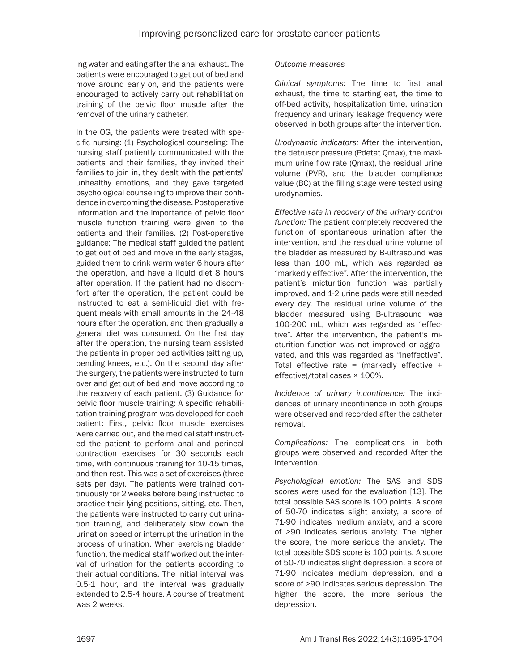ing water and eating after the anal exhaust. The patients were encouraged to get out of bed and move around early on, and the patients were encouraged to actively carry out rehabilitation training of the pelvic floor muscle after the removal of the urinary catheter.

In the OG, the patients were treated with specific nursing: (1) Psychological counseling: The nursing staff patiently communicated with the patients and their families, they invited their families to join in, they dealt with the patients' unhealthy emotions, and they gave targeted psychological counseling to improve their confidence in overcoming the disease. Postoperative information and the importance of pelvic floor muscle function training were given to the patients and their families. (2) Post-operative guidance: The medical staff guided the patient to get out of bed and move in the early stages, guided them to drink warm water 6 hours after the operation, and have a liquid diet 8 hours after operation. If the patient had no discomfort after the operation, the patient could be instructed to eat a semi-liquid diet with frequent meals with small amounts in the 24-48 hours after the operation, and then gradually a general diet was consumed. On the first day after the operation, the nursing team assisted the patients in proper bed activities (sitting up, bending knees, etc.). On the second day after the surgery, the patients were instructed to turn over and get out of bed and move according to the recovery of each patient. (3) Guidance for pelvic floor muscle training: A specific rehabilitation training program was developed for each patient: First, pelvic floor muscle exercises were carried out, and the medical staff instructed the patient to perform anal and perineal contraction exercises for 30 seconds each time, with continuous training for 10-15 times, and then rest. This was a set of exercises (three sets per day). The patients were trained continuously for 2 weeks before being instructed to practice their lying positions, sitting, etc. Then, the patients were instructed to carry out urination training, and deliberately slow down the urination speed or interrupt the urination in the process of urination. When exercising bladder function, the medical staff worked out the interval of urination for the patients according to their actual conditions. The initial interval was 0.5-1 hour, and the interval was gradually extended to 2.5-4 hours. A course of treatment was 2 weeks.

## *Outcome measures*

*Clinical symptoms:* The time to first anal exhaust, the time to starting eat, the time to off-bed activity, hospitalization time, urination frequency and urinary leakage frequency were observed in both groups after the intervention.

*Urodynamic indicators:* After the intervention, the detrusor pressure (Pdetat Qmax), the maximum urine flow rate (Qmax), the residual urine volume (PVR), and the bladder compliance value (BC) at the filling stage were tested using urodynamics.

*Effective rate in recovery of the urinary control function:* The patient completely recovered the function of spontaneous urination after the intervention, and the residual urine volume of the bladder as measured by B-ultrasound was less than 100 mL, which was regarded as "markedly effective". After the intervention, the patient's micturition function was partially improved, and 1-2 urine pads were still needed every day. The residual urine volume of the bladder measured using B-ultrasound was 100-200 mL, which was regarded as "effective". After the intervention, the patient's micturition function was not improved or aggravated, and this was regarded as "ineffective". Total effective rate = (markedly effective  $+$ effective)/total cases × 100%.

*Incidence of urinary incontinence:* The incidences of urinary incontinence in both groups were observed and recorded after the catheter removal.

*Complications:* The complications in both groups were observed and recorded After the intervention.

*Psychological emotion:* The SAS and SDS scores were used for the evaluation [13]. The total possible SAS score is 100 points. A score of 50-70 indicates slight anxiety, a score of 71-90 indicates medium anxiety, and a score of >90 indicates serious anxiety. The higher the score, the more serious the anxiety. The total possible SDS score is 100 points. A score of 50-70 indicates slight depression, a score of 71-90 indicates medium depression, and a score of >90 indicates serious depression. The higher the score, the more serious the depression.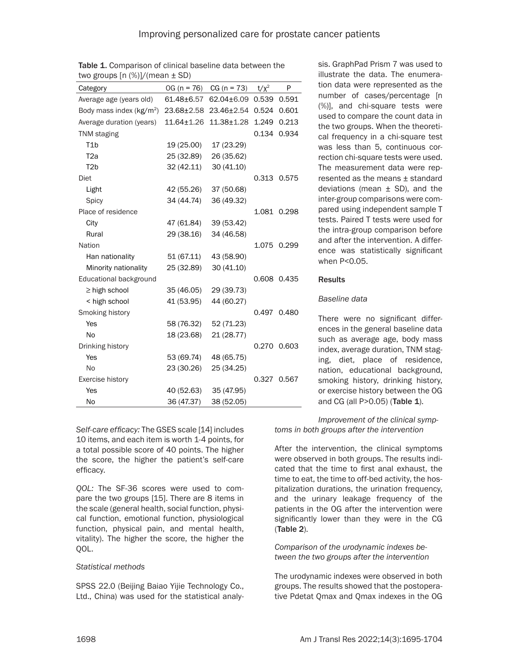| $(100 \text{ S})$ and $[11 \text{ S})$ $(11 \text{ S})$ $(11 \text{ S})$ |                  |                |         |             |
|--------------------------------------------------------------------------|------------------|----------------|---------|-------------|
| Category                                                                 | $OG (n = 76)$    | $CG (n = 73)$  | $t/x^2$ | P           |
| Average age (years old)                                                  | $61.48 \pm 6.57$ | 62.04±6.09     | 0.539   | 0.591       |
| Body mass index $(kg/m2)$                                                | 23.68±2.58       | 23.46±2.54     | 0.524   | 0.601       |
| Average duration (years)                                                 | $11.64 \pm 1.26$ | $11.38 + 1.28$ | 1.249   | 0.213       |
| <b>TNM</b> staging                                                       |                  |                | 0.134   | 0.934       |
| T1b                                                                      | 19 (25.00)       | 17 (23.29)     |         |             |
| T <sub>2</sub> a                                                         | 25 (32.89)       | 26 (35.62)     |         |             |
| T <sub>2</sub> b                                                         | 32(42.11)        | 30 (41.10)     |         |             |
| Diet                                                                     |                  |                |         | 0.313 0.575 |
| Light                                                                    | 42 (55.26)       | 37 (50.68)     |         |             |
| Spicy                                                                    | 34 (44.74)       | 36 (49.32)     |         |             |
| Place of residence                                                       |                  |                |         | 1.081 0.298 |
| City                                                                     | 47 (61.84)       | 39 (53.42)     |         |             |
| Rural                                                                    | 29 (38.16)       | 34 (46.58)     |         |             |
| Nation                                                                   |                  |                | 1.075   | 0.299       |
| Han nationality                                                          | 51 (67.11)       | 43 (58.90)     |         |             |
| Minority nationality                                                     | 25 (32.89)       | 30 (41.10)     |         |             |
| Educational background                                                   |                  |                |         | 0.608 0.435 |
| $\geq$ high school                                                       | 35 (46.05)       | 29 (39.73)     |         |             |
| < high school                                                            | 41 (53.95)       | 44 (60.27)     |         |             |
| Smoking history                                                          |                  |                | 0.497   | 0.480       |
| Yes                                                                      | 58 (76.32)       | 52 (71.23)     |         |             |
| No                                                                       | 18 (23.68)       | 21 (28.77)     |         |             |
| Drinking history                                                         |                  |                | 0.270   | 0.603       |
| Yes                                                                      | 53 (69.74)       | 48 (65.75)     |         |             |
| <b>No</b>                                                                | 23 (30.26)       | 25 (34.25)     |         |             |
| Exercise history                                                         |                  |                | 0.327   | 0.567       |
| Yes                                                                      | 40 (52.63)       | 35 (47.95)     |         |             |
| No                                                                       | 36 (47.37)       | 38 (52.05)     |         |             |

Table 1. Comparison of clinical baseline data between the two groups  $[n (%)]/(mean + SD)$ 

*Self-care efficacy:* The GSES scale [14] includes 10 items, and each item is worth 1-4 points, for a total possible score of 40 points. The higher the score, the higher the patient's self-care efficacy.

*QOL:* The SF-36 scores were used to compare the two groups [15]. There are 8 items in the scale (general health, social function, physical function, emotional function, physiological function, physical pain, and mental health, vitality). The higher the score, the higher the QOL.

## *Statistical methods*

SPSS 22.0 (Beijing Baiao Yijie Technology Co., Ltd., China) was used for the statistical analysis. GraphPad Prism 7 was used to illustrate the data. The enumeration data were represented as the number of cases/percentage [n (%)], and chi-square tests were used to compare the count data in the two groups. When the theoretical frequency in a chi-square test was less than 5, continuous correction chi-square tests were used. The measurement data were represented as the means ± standard deviations (mean  $\pm$  SD), and the inter-group comparisons were compared using independent sample T tests. Paired T tests were used for the intra-group comparison before and after the intervention. A difference was statistically significant when P<0.05.

#### Results

#### *Baseline data*

There were no significant differences in the general baseline data such as average age, body mass index, average duration, TNM staging, diet, place of residence, nation, educational background, smoking history, drinking history, or exercise history between the OG and CG (all P>0.05) (Table 1).

*toms in both groups after the intervention Improvement of the clinical symp-*

After the intervention, the clinical symptoms were observed in both groups. The results indicated that the time to first anal exhaust, the time to eat, the time to off-bed activity, the hospitalization durations, the urination frequency, and the urinary leakage frequency of the patients in the OG after the intervention were significantly lower than they were in the CG (Table 2).

#### *Comparison of the urodynamic indexes between the two groups after the intervention*

The urodynamic indexes were observed in both groups. The results showed that the postoperative Pdetat Qmax and Qmax indexes in the OG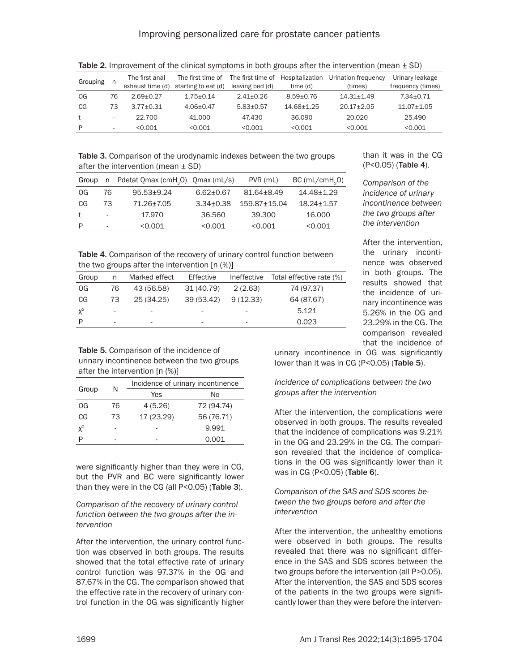| Grouping<br>n, |                          | The first anal   | The first time of   | The first time of | Hospitalization | Urination frequency | Urinary leakage   |
|----------------|--------------------------|------------------|---------------------|-------------------|-----------------|---------------------|-------------------|
|                |                          | exhaust time (d) | starting to eat (d) | leaving bed (d)   | time (d)        | (times)             | frequency (times) |
| OG             | 76                       | $2.69 + 0.27$    | $1.75 + 0.14$       | $2.41 + 0.26$     | $8.59 + 0.76$   | $14.31 + 1.49$      | $7.34 + 0.71$     |
| CG             | 73                       | $3.77 + 0.31$    | $4.06 + 0.47$       | $5.83 + 0.57$     | 14.68+1.25      | $20.17 + 2.05$      | $11.07 + 1.05$    |
| $^{\dagger}$   |                          | 22.700           | 41,000              | 47.430            | 36.090          | 20.020              | 25.490            |
| P              | $\overline{\phantom{0}}$ | < 0.001          | < 0.001             | < 0.001           | < 0.001         | < 0.001             | < 0.001           |

Table 2. Improvement of the clinical symptoms in both groups after the intervention (mean  $\pm$  SD)

Table 3. Comparison of the urodynamic indexes between the two groups after the intervention (mean  $\pm$  SD)

| Group |                          | n Pdetat Qmax (cmH <sub>2</sub> O) Qmax (mL/s) |                 | PVR (mL)     | BC(mL/cmH, 0)  |
|-------|--------------------------|------------------------------------------------|-----------------|--------------|----------------|
| OG    | 76                       | $95.53 + 9.24$                                 | $6.62 \pm 0.67$ | 81.64+8.49   | 14.48±1.29     |
| CG    | 73                       | 71.26±7.05                                     | $3.34 + 0.38$   | 159.87+15.04 | $18.24 + 1.57$ |
|       | $\overline{\phantom{a}}$ | 17.970                                         | 36.560          | 39.300       | 16,000         |
| P     | $\overline{\phantom{a}}$ | < 0.001                                        | < 0.001         | < 0.001      | < 0.001        |

Table 4. Comparison of the recovery of urinary control function between the two groups after the intervention [n (%)]

| Group | n                        | Marked effect | Effective  | Ineffective              | Total effective rate (%) |
|-------|--------------------------|---------------|------------|--------------------------|--------------------------|
| OG    | 76                       | 43 (56.58)    | 31 (40.79) | 2(2.63)                  | 74 (97.37)               |
| CG    | 73                       | 25 (34.25)    | 39 (53.42) | 9(12.33)                 | 64 (87.67)               |
| $X^2$ | $\overline{\phantom{a}}$ |               |            | $\overline{\phantom{a}}$ | 5.121                    |
| P     | ۰                        | -             | -          | ۰                        | 0.023                    |

than it was in the CG (P<0.05) (Table 4).

*Comparison of the incidence of urinary incontinence between the two groups after the intervention*

After the intervention, the urinary incontinence was observed in both groups. The results showed that the incidence of urinary incontinence was 5.26% in the OG and 23.29% in the CG. The comparison revealed that the incidence of

Table 5. Comparison of the incidence of urinary incontinence between the two groups after the intervention [n (%)]

|       | N  | Incidence of urinary incontinence |            |  |  |  |
|-------|----|-----------------------------------|------------|--|--|--|
| Group |    | Yes                               | No         |  |  |  |
| OG    | 76 | 4(5.26)                           | 72 (94.74) |  |  |  |
| CG    | 73 | 17 (23.29)                        | 56 (76.71) |  |  |  |
| $x^2$ |    |                                   | 9.991      |  |  |  |
|       |    |                                   | 0.001      |  |  |  |

were significantly higher than they were in CG, but the PVR and BC were significantly lower than they were in the CG (all P<0.05) (Table 3).

*Comparison of the recovery of urinary control function between the two groups after the intervention*

After the intervention, the urinary control function was observed in both groups. The results showed that the total effective rate of urinary control function was 97.37% in the OG and 87.67% in the CG. The comparison showed that the effective rate in the recovery of urinary control function in the OG was significantly higher

urinary incontinence in OG was significantly lower than it was in CG (P<0.05) (Table 5).

## *Incidence of complications between the two groups after the intervention*

After the intervention, the complications were observed in both groups. The results revealed that the incidence of complications was 9.21% in the OG and 23.29% in the CG. The comparison revealed that the incidence of complications in the OG was significantly lower than it was in CG (P<0.05) (Table 6).

## *Comparison of the SAS and SDS scores between the two groups before and after the intervention*

After the intervention, the unhealthy emotions were observed in both groups. The results revealed that there was no significant difference in the SAS and SDS scores between the two groups before the intervention (all P>0.05). After the intervention, the SAS and SDS scores of the patients in the two groups were significantly lower than they were before the interven-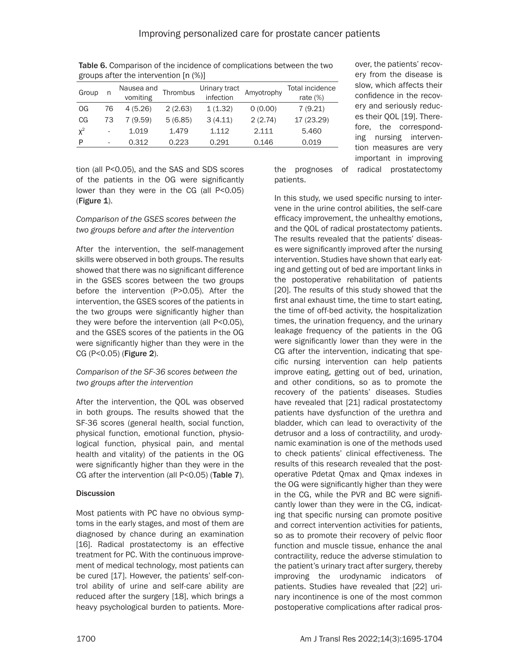| Group |    | Nausea and<br>vomiting | Thrombus | Urinary tract<br>infection | Amyotrophy | Total incidence<br>rate $(\%)$ |
|-------|----|------------------------|----------|----------------------------|------------|--------------------------------|
| OG    | 76 | 4(5.26)                | 2(2.63)  | 1(1.32)                    | 0(0.00)    | 7(9.21)                        |
| CG    | 73 | 7(9.59)                | 5(6.85)  | 3(4.11)                    | 2(2.74)    | 17 (23.29)                     |
| $x^2$ | ۰  | 1.019                  | 1.479    | 1.112                      | 2.111      | 5.460                          |
| P     | ۰  | 0.312                  | 0.223    | 0.291                      | 0.146      | 0.019                          |

Table 6. Comparison of the incidence of complications between the two groups after the intervention [n (%)]

tion (all P<0.05), and the SAS and SDS scores of the patients in the OG were significantly lower than they were in the CG (all P<0.05) (Figure 1).

# *Comparison of the GSES scores between the two groups before and after the intervention*

After the intervention, the self-management skills were observed in both groups. The results showed that there was no significant difference in the GSES scores between the two groups before the intervention (P>0.05). After the intervention, the GSES scores of the patients in the two groups were significantly higher than they were before the intervention (all P<0.05), and the GSES scores of the patients in the OG were significantly higher than they were in the CG (P<0.05) (Figure 2).

# *Comparison of the SF-36 scores between the two groups after the intervention*

After the intervention, the QOL was observed in both groups. The results showed that the SF-36 scores (general health, social function, physical function, emotional function, physiological function, physical pain, and mental health and vitality) of the patients in the OG were significantly higher than they were in the CG after the intervention (all P<0.05) (Table 7).

# **Discussion**

Most patients with PC have no obvious symptoms in the early stages, and most of them are diagnosed by chance during an examination [16]. Radical prostatectomy is an effective treatment for PC. With the continuous improvement of medical technology, most patients can be cured [17]. However, the patients' self-control ability of urine and self-care ability are reduced after the surgery [18], which brings a heavy psychological burden to patients. Moreover, the patients' recovery from the disease is slow, which affects their confidence in the recovery and seriously reduces their QOL [19]. Therefore, the corresponding nursing intervention measures are very important in improving

the prognoses of radical prostatectomy patients.

In this study, we used specific nursing to intervene in the urine control abilities, the self-care efficacy improvement, the unhealthy emotions, and the QOL of radical prostatectomy patients. The results revealed that the patients' diseases were significantly improved after the nursing intervention. Studies have shown that early eating and getting out of bed are important links in the postoperative rehabilitation of patients [20]. The results of this study showed that the first anal exhaust time, the time to start eating, the time of off-bed activity, the hospitalization times, the urination frequency, and the urinary leakage frequency of the patients in the OG were significantly lower than they were in the CG after the intervention, indicating that specific nursing intervention can help patients improve eating, getting out of bed, urination, and other conditions, so as to promote the recovery of the patients' diseases. Studies have revealed that [21] radical prostatectomy patients have dysfunction of the urethra and bladder, which can lead to overactivity of the detrusor and a loss of contractility, and urodynamic examination is one of the methods used to check patients' clinical effectiveness. The results of this research revealed that the postoperative Pdetat Qmax and Qmax indexes in the OG were significantly higher than they were in the CG, while the PVR and BC were significantly lower than they were in the CG, indicating that specific nursing can promote positive and correct intervention activities for patients, so as to promote their recovery of pelvic floor function and muscle tissue, enhance the anal contractility, reduce the adverse stimulation to the patient's urinary tract after surgery, thereby improving the urodynamic indicators of patients. Studies have revealed that [22] urinary incontinence is one of the most common postoperative complications after radical pros-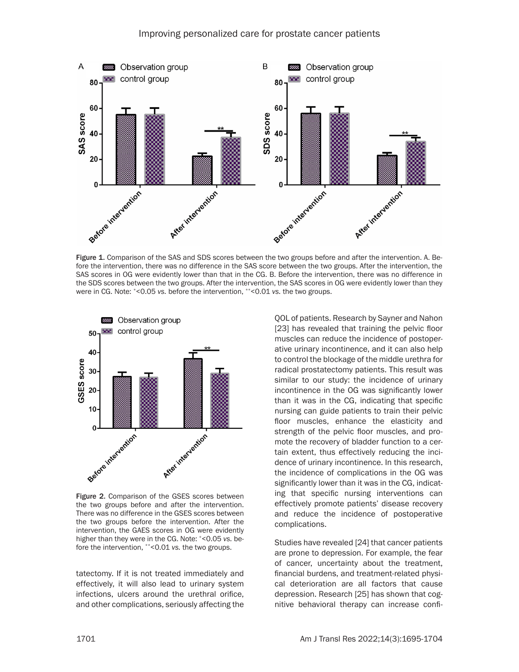

Figure 1. Comparison of the SAS and SDS scores between the two groups before and after the intervention. A. Before the intervention, there was no difference in the SAS score between the two groups. After the intervention, the SAS scores in OG were evidently lower than that in the CG. B. Before the intervention, there was no difference in the SDS scores between the two groups. After the intervention, the SAS scores in OG were evidently lower than they were in CG. Note: \*<0.05 *vs.* before the intervention, \*\*<0.01 *vs.* the two groups.



Figure 2. Comparison of the GSES scores between the two groups before and after the intervention. There was no difference in the GSES scores between the two groups before the intervention. After the intervention, the GAES scores in OG were evidently higher than they were in the CG. Note: \*<0.05 *vs.* before the intervention, \*\*<0.01 *vs.* the two groups.

tatectomy. If it is not treated immediately and effectively, it will also lead to urinary system infections, ulcers around the urethral orifice, and other complications, seriously affecting the

QOL of patients. Research by Sayner and Nahon [23] has revealed that training the pelvic floor muscles can reduce the incidence of postoperative urinary incontinence, and it can also help to control the blockage of the middle urethra for radical prostatectomy patients. This result was similar to our study: the incidence of urinary incontinence in the OG was significantly lower than it was in the CG, indicating that specific nursing can guide patients to train their pelvic floor muscles, enhance the elasticity and strength of the pelvic floor muscles, and promote the recovery of bladder function to a certain extent, thus effectively reducing the incidence of urinary incontinence. In this research, the incidence of complications in the OG was significantly lower than it was in the CG, indicating that specific nursing interventions can effectively promote patients' disease recovery and reduce the incidence of postoperative complications.

Studies have revealed [24] that cancer patients are prone to depression. For example, the fear of cancer, uncertainty about the treatment, financial burdens, and treatment-related physical deterioration are all factors that cause depression. Research [25] has shown that cognitive behavioral therapy can increase confi-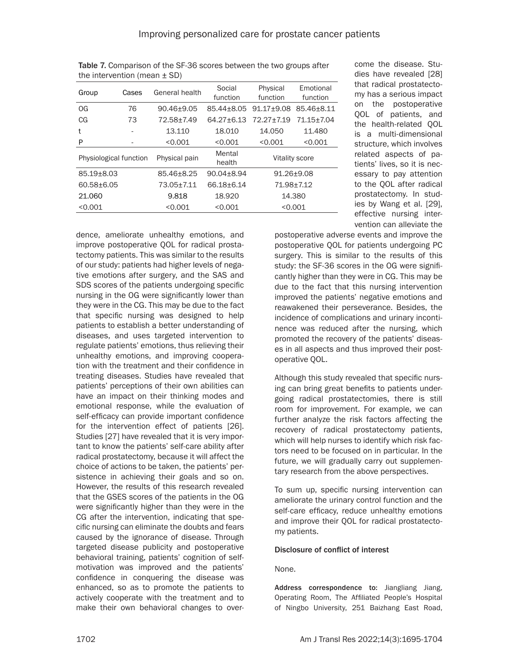| Group                  | Cases | General health | Social<br>function | Physical<br>function | Emotional<br>function |
|------------------------|-------|----------------|--------------------|----------------------|-----------------------|
| <b>OG</b>              | 76    | 90.46±9.05     | 85.44+8.05         | $91.17 + 9.08$       | 85.46+8.11            |
| CG                     | 73    | 72.58±7.49     | $64.27 + 6.13$     | 72.27+7.19           | $71.15 + 7.04$        |
| t                      |       | 13.110         | 18.010             | 14.050               | 11.480                |
| P                      |       | < 0.001        | < 0.001            | < 0.001              | < 0.001               |
| Physiological function |       | Physical pain  | Mental<br>health   |                      | Vitality score        |
| 85.19±8.03             |       | 85.46+8.25     | $90.04 + 8.94$     | 91.26±9.08           |                       |
| 60.58+6.05             |       | 73.05±7.11     | 66.18+6.14         | 71.98±7.12           |                       |
| 21.060                 |       | 9.818          | 18.920             | 14.380               |                       |
| < 0.001                |       | < 0.001        | < 0.001            | < 0.001              |                       |

Table 7. Comparison of the SF-36 scores between the two groups after the intervention (mean  $\pm$  SD)

dence, ameliorate unhealthy emotions, and improve postoperative QOL for radical prostatectomy patients. This was similar to the results of our study: patients had higher levels of negative emotions after surgery, and the SAS and SDS scores of the patients undergoing specific nursing in the OG were significantly lower than they were in the CG. This may be due to the fact that specific nursing was designed to help patients to establish a better understanding of diseases, and uses targeted intervention to regulate patients' emotions, thus relieving their unhealthy emotions, and improving cooperation with the treatment and their confidence in treating diseases. Studies have revealed that patients' perceptions of their own abilities can have an impact on their thinking modes and emotional response, while the evaluation of self-efficacy can provide important confidence for the intervention effect of patients [26]. Studies [27] have revealed that it is very important to know the patients' self-care ability after radical prostatectomy, because it will affect the choice of actions to be taken, the patients' persistence in achieving their goals and so on. However, the results of this research revealed that the GSES scores of the patients in the OG were significantly higher than they were in the CG after the intervention, indicating that specific nursing can eliminate the doubts and fears caused by the ignorance of disease. Through targeted disease publicity and postoperative behavioral training, patients' cognition of selfmotivation was improved and the patients' confidence in conquering the disease was enhanced, so as to promote the patients to actively cooperate with the treatment and to make their own behavioral changes to overcome the disease. Studies have revealed [28] that radical prostatectomy has a serious impact on the postoperative QOL of patients, and the health-related QOL is a multi-dimensional structure, which involves related aspects of patients' lives, so it is necessary to pay attention to the QOL after radical prostatectomy. In studies by Wang et al. [29], effective nursing intervention can alleviate the

postoperative adverse events and improve the postoperative QOL for patients undergoing PC surgery. This is similar to the results of this study: the SF-36 scores in the OG were significantly higher than they were in CG. This may be due to the fact that this nursing intervention improved the patients' negative emotions and reawakened their perseverance. Besides, the incidence of complications and urinary incontinence was reduced after the nursing, which promoted the recovery of the patients' diseases in all aspects and thus improved their postoperative QOL.

Although this study revealed that specific nursing can bring great benefits to patients undergoing radical prostatectomies, there is still room for improvement. For example, we can further analyze the risk factors affecting the recovery of radical prostatectomy patients, which will help nurses to identify which risk factors need to be focused on in particular. In the future, we will gradually carry out supplementary research from the above perspectives.

To sum up, specific nursing intervention can ameliorate the urinary control function and the self-care efficacy, reduce unhealthy emotions and improve their QOL for radical prostatectomy patients.

## Disclosure of conflict of interest

## None.

Address correspondence to: Jiangliang Jiang, Operating Room, The Affiliated People's Hospital of Ningbo University, 251 Baizhang East Road,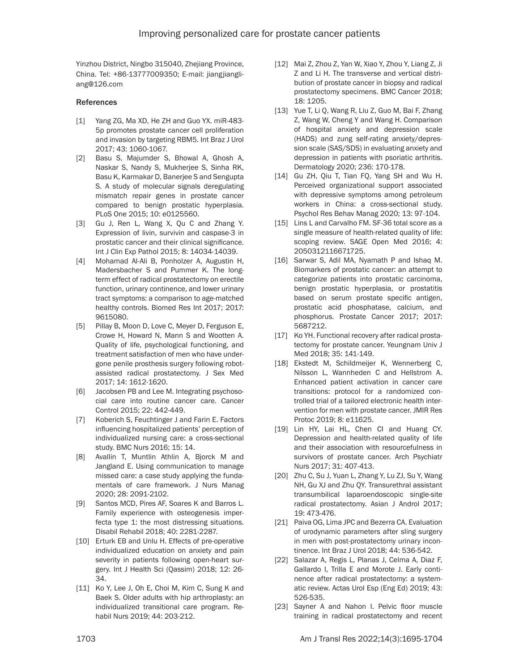Yinzhou District, Ningbo 315040, Zhejiang Province, China. Tel: +86-13777009350; E-mail: [jiangjiangli](mailto:jiangjiangliang@126.com)[ang@126.com](mailto:jiangjiangliang@126.com)

#### References

- [1] Yang ZG, Ma XD, He ZH and Guo YX. miR-483-5p promotes prostate cancer cell proliferation and invasion by targeting RBM5. Int Braz J Urol 2017; 43: 1060-1067.
- [2] Basu S, Majumder S, Bhowal A, Ghosh A, Naskar S, Nandy S, Mukherjee S, Sinha RK, Basu K, Karmakar D, Banerjee S and Sengupta S. A study of molecular signals deregulating mismatch repair genes in prostate cancer compared to benign prostatic hyperplasia. PLoS One 2015; 10: e0125560.
- [3] Gu J, Ren L, Wang X, Qu C and Zhang Y. Expression of livin, survivin and caspase-3 in prostatic cancer and their clinical significance. Int J Clin Exp Pathol 2015; 8: 14034-14039.
- [4] Mohamad Al-Ali B, Ponholzer A, Augustin H, Madersbacher S and Pummer K. The longterm effect of radical prostatectomy on erectile function, urinary continence, and lower urinary tract symptoms: a comparison to age-matched healthy controls. Biomed Res Int 2017; 2017: 9615080.
- [5] Pillay B, Moon D, Love C, Meyer D, Ferguson E, Crowe H, Howard N, Mann S and Wootten A. Quality of life, psychological functioning, and treatment satisfaction of men who have undergone penile prosthesis surgery following robotassisted radical prostatectomy. J Sex Med 2017; 14: 1612-1620.
- [6] Jacobsen PB and Lee M. Integrating psychosocial care into routine cancer care. Cancer Control 2015; 22: 442-449.
- [7] Koberich S, Feuchtinger J and Farin E. Factors influencing hospitalized patients' perception of individualized nursing care: a cross-sectional study. BMC Nurs 2016; 15: 14.
- [8] Avallin T, Muntlin Athlin A, Bjorck M and Jangland E. Using communication to manage missed care: a case study applying the fundamentals of care framework. J Nurs Manag 2020; 28: 2091-2102.
- [9] Santos MCD, Pires AF, Soares K and Barros L. Family experience with osteogenesis imperfecta type 1: the most distressing situations. Disabil Rehabil 2018; 40: 2281-2287.
- [10] Erturk EB and Unlu H. Effects of pre-operative individualized education on anxiety and pain severity in patients following open-heart surgery. Int J Health Sci (Qassim) 2018; 12: 26- 34.
- [11] Ko Y, Lee J, Oh E, Choi M, Kim C, Sung K and Baek S. Older adults with hip arthroplasty: an individualized transitional care program. Rehabil Nurs 2019; 44: 203-212.
- [12] Mai Z, Zhou Z, Yan W, Xiao Y, Zhou Y, Liang Z, Ji Z and Li H. The transverse and vertical distribution of prostate cancer in biopsy and radical prostatectomy specimens. BMC Cancer 2018; 18: 1205.
- [13] Yue T, Li Q, Wang R, Liu Z, Guo M, Bai F, Zhang Z, Wang W, Cheng Y and Wang H. Comparison of hospital anxiety and depression scale (HADS) and zung self-rating anxiety/depression scale (SAS/SDS) in evaluating anxiety and depression in patients with psoriatic arthritis. Dermatology 2020; 236: 170-178.
- [14] Gu ZH, Qiu T, Tian FQ, Yang SH and Wu H. Perceived organizational support associated with depressive symptoms among petroleum workers in China: a cross-sectional study. Psychol Res Behav Manag 2020; 13: 97-104.
- [15] Lins L and Carvalho FM. SF-36 total score as a single measure of health-related quality of life: scoping review. SAGE Open Med 2016; 4: 2050312116671725.
- [16] Sarwar S, Adil MA, Nyamath P and Ishaq M. Biomarkers of prostatic cancer: an attempt to categorize patients into prostatic carcinoma, benign prostatic hyperplasia, or prostatitis based on serum prostate specific antigen, prostatic acid phosphatase, calcium, and phosphorus. Prostate Cancer 2017; 2017: 5687212.
- [17] Ko YH. Functional recovery after radical prostatectomy for prostate cancer. Yeungnam Univ J Med 2018; 35: 141-149.
- [18] Ekstedt M, Schildmeijer K, Wennerberg C, Nilsson L, Wannheden C and Hellstrom A. Enhanced patient activation in cancer care transitions: protocol for a randomized controlled trial of a tailored electronic health intervention for men with prostate cancer. JMIR Res Protoc 2019; 8: e11625.
- [19] Lin HY, Lai HL, Chen CI and Huang CY. Depression and health-related quality of life and their association with resourcefulness in survivors of prostate cancer. Arch Psychiatr Nurs 2017; 31: 407-413.
- [20] Zhu C, Su J, Yuan L, Zhang Y, Lu ZJ, Su Y, Wang NH, Gu XJ and Zhu QY. Transurethral assistant transumbilical laparoendoscopic single-site radical prostatectomy. Asian J Androl 2017; 19: 473-476.
- [21] Paiva OG, Lima JPC and Bezerra CA. Evaluation of urodynamic parameters after sling surgery in men with post-prostatectomy urinary incontinence. Int Braz J Urol 2018; 44: 536-542.
- [22] Salazar A, Regis L, Planas J, Celma A, Diaz F, Gallardo I, Trilla E and Morote J. Early continence after radical prostatectomy: a systematic review. Actas Urol Esp (Eng Ed) 2019; 43: 526-535.
- [23] Sayner A and Nahon I. Pelvic floor muscle training in radical prostatectomy and recent